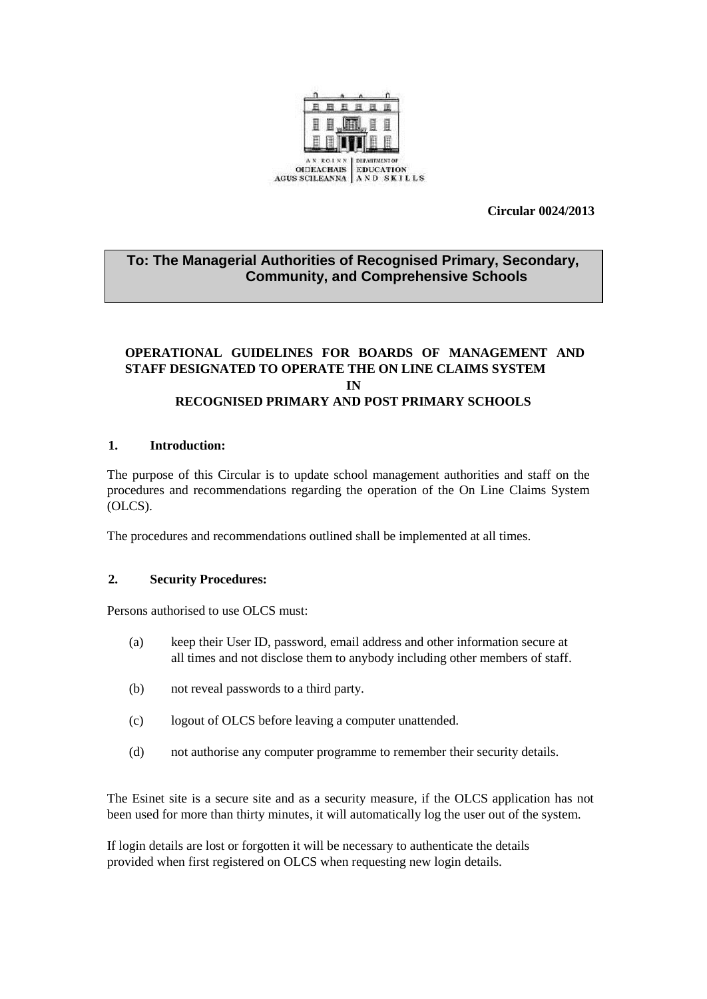

**Circular 0024/2013**

# **To: The Managerial Authorities of Recognised Primary, Secondary, Community, and Comprehensive Schools**

## **OPERATIONAL GUIDELINES FOR BOARDS OF MANAGEMENT AND STAFF DESIGNATED TO OPERATE THE ON LINE CLAIMS SYSTEM IN RECOGNISED PRIMARY AND POST PRIMARY SCHOOLS**

### **1. Introduction:**

The purpose of this Circular is to update school management authorities and staff on the procedures and recommendations regarding the operation of the On Line Claims System (OLCS).

The procedures and recommendations outlined shall be implemented at all times.

#### **2. Security Procedures:**

Persons authorised to use OLCS must:

- (a) keep their User ID, password, email address and other information secure at all times and not disclose them to anybody including other members of staff.
- (b) not reveal passwords to a third party.
- (c) logout of OLCS before leaving a computer unattended.
- (d) not authorise any computer programme to remember their security details.

The Esinet site is a secure site and as a security measure, if the OLCS application has not been used for more than thirty minutes, it will automatically log the user out of the system.

If login details are lost or forgotten it will be necessary to authenticate the details provided when first registered on OLCS when requesting new login details.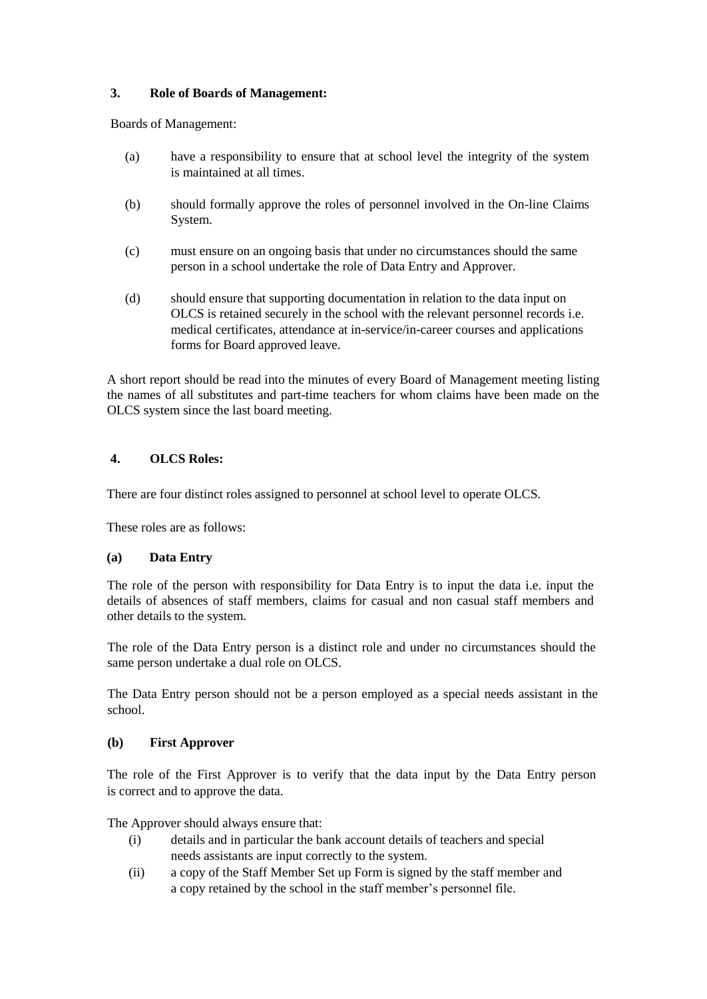## **3. Role of Boards of Management:**

Boards of Management:

- (a) have a responsibility to ensure that at school level the integrity of the system is maintained at all times.
- (b) should formally approve the roles of personnel involved in the On-line Claims System.
- (c) must ensure on an ongoing basis that under no circumstances should the same person in a school undertake the role of Data Entry and Approver.
- (d) should ensure that supporting documentation in relation to the data input on OLCS is retained securely in the school with the relevant personnel records i.e. medical certificates, attendance at in-service/in-career courses and applications forms for Board approved leave.

A short report should be read into the minutes of every Board of Management meeting listing the names of all substitutes and part-time teachers for whom claims have been made on the OLCS system since the last board meeting.

## **4. OLCS Roles:**

There are four distinct roles assigned to personnel at school level to operate OLCS.

These roles are as follows:

## **(a) Data Entry**

The role of the person with responsibility for Data Entry is to input the data i.e. input the details of absences of staff members, claims for casual and non casual staff members and other details to the system.

The role of the Data Entry person is a distinct role and under no circumstances should the same person undertake a dual role on OLCS.

The Data Entry person should not be a person employed as a special needs assistant in the school.

#### **(b) First Approver**

The role of the First Approver is to verify that the data input by the Data Entry person is correct and to approve the data.

The Approver should always ensure that:

- (i) details and in particular the bank account details of teachers and special needs assistants are input correctly to the system.
- (ii) a copy of the Staff Member Set up Form is signed by the staff member and a copy retained by the school in the staff member's personnel file.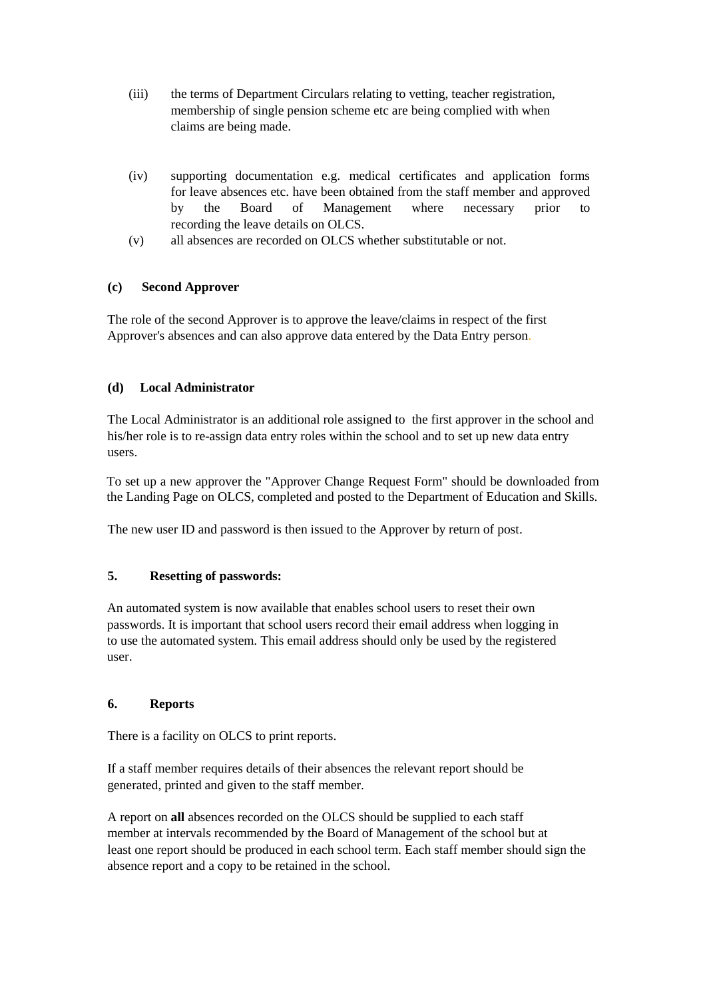- (iii) the terms of Department Circulars relating to vetting, teacher registration, membership of single pension scheme etc are being complied with when claims are being made.
- (iv) supporting documentation e.g. medical certificates and application forms for leave absences etc. have been obtained from the staff member and approved by the Board of Management where necessary prior to recording the leave details on OLCS.
- (v) all absences are recorded on OLCS whether substitutable or not.

## **(c) Second Approver**

The role of the second Approver is to approve the leave/claims in respect of the first Approver's absences and can also approve data entered by the Data Entry person.

### **(d) Local Administrator**

The Local Administrator is an additional role assigned to the first approver in the school and his/her role is to re-assign data entry roles within the school and to set up new data entry users.

To set up a new approver the "Approver Change Request Form" should be downloaded from the Landing Page on OLCS, completed and posted to the Department of Education and Skills.

The new user ID and password is then issued to the Approver by return of post.

#### **5. Resetting of passwords:**

An automated system is now available that enables school users to reset their own passwords. It is important that school users record their email address when logging in to use the automated system. This email address should only be used by the registered user.

### **6. Reports**

There is a facility on OLCS to print reports.

If a staff member requires details of their absences the relevant report should be generated, printed and given to the staff member.

A report on **all** absences recorded on the OLCS should be supplied to each staff member at intervals recommended by the Board of Management of the school but at least one report should be produced in each school term. Each staff member should sign the absence report and a copy to be retained in the school.